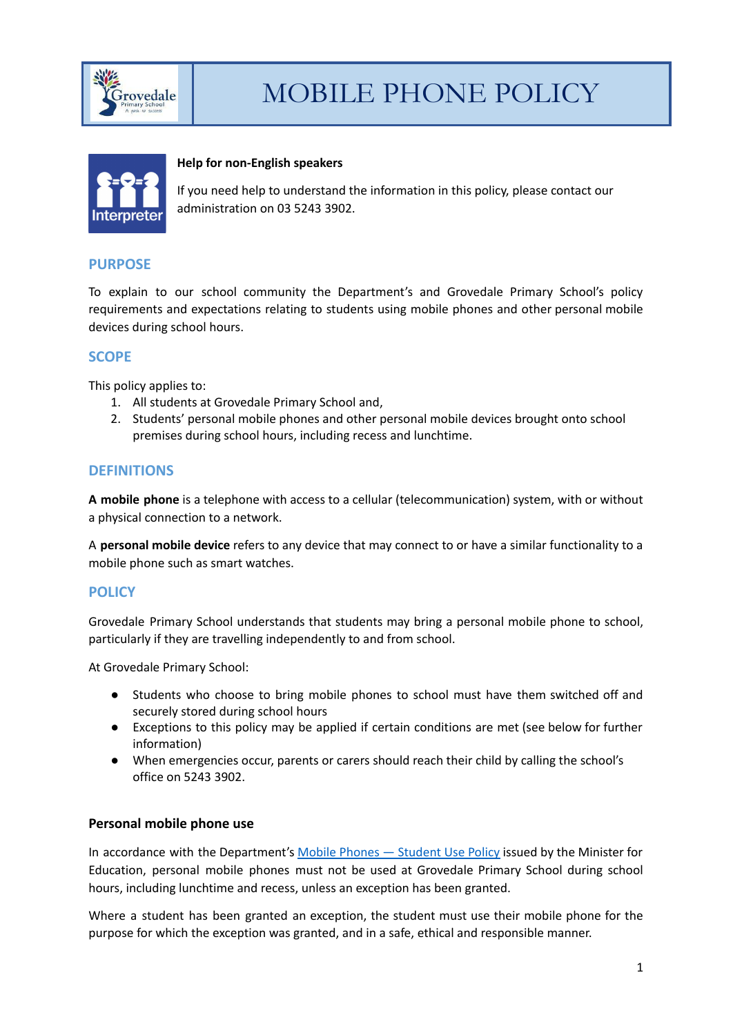



#### **Help for non-English speakers**

If you need help to understand the information in this policy, please contact our administration on 03 5243 3902.

## **PURPOSE**

To explain to our school community the Department's and Grovedale Primary School's policy requirements and expectations relating to students using mobile phones and other personal mobile devices during school hours.

# **SCOPE**

This policy applies to:

- 1. All students at Grovedale Primary School and,
- 2. Students' personal mobile phones and other personal mobile devices brought onto school premises during school hours, including recess and lunchtime.

# **DEFINITIONS**

**A mobile phone** is a telephone with access to a cellular (telecommunication) system, with or without a physical connection to a network.

A **personal mobile device** refers to any device that may connect to or have a similar functionality to a mobile phone such as smart watches.

## **POLICY**

Grovedale Primary School understands that students may bring a personal mobile phone to school, particularly if they are travelling independently to and from school.

At Grovedale Primary School:

- Students who choose to bring mobile phones to school must have them switched off and securely stored during school hours
- Exceptions to this policy may be applied if certain conditions are met (see below for further information)
- When emergencies occur, parents or carers should reach their child by calling the school's office on 5243 3902.

## **Personal mobile phone use**

In accordance with the Department's Mobile Phones — [Student](https://www2.education.vic.gov.au/pal/students-using-mobile-phones/policy) Use Policy issued by the Minister for Education, personal mobile phones must not be used at Grovedale Primary School during school hours, including lunchtime and recess, unless an exception has been granted.

Where a student has been granted an exception, the student must use their mobile phone for the purpose for which the exception was granted, and in a safe, ethical and responsible manner.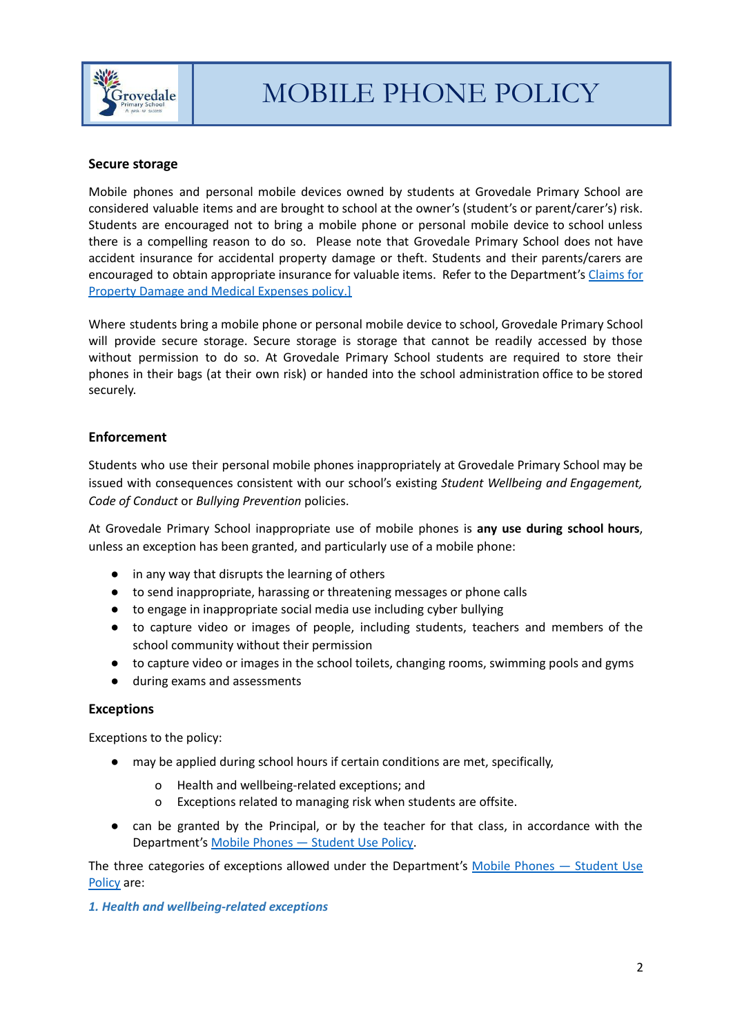

#### **Secure storage**

Mobile phones and personal mobile devices owned by students at Grovedale Primary School are considered valuable items and are brought to school at the owner's (student's or parent/carer's) risk. Students are encouraged not to bring a mobile phone or personal mobile device to school unless there is a compelling reason to do so. Please note that Grovedale Primary School does not have accident insurance for accidental property damage or theft. Students and their parents/carers are encouraged to obtain appropriate insurance for valuable items. Refer to the Department's [Claims](https://www2.education.vic.gov.au/pal/claims-property-damage-and-medical-expenses/policy) for Property Damage and Medical [Expenses](https://www2.education.vic.gov.au/pal/claims-property-damage-and-medical-expenses/policy) policy.]

Where students bring a mobile phone or personal mobile device to school, Grovedale Primary School will provide secure storage. Secure storage is storage that cannot be readily accessed by those without permission to do so. At Grovedale Primary School students are required to store their phones in their bags (at their own risk) or handed into the school administration office to be stored securely.

## **Enforcement**

Students who use their personal mobile phones inappropriately at Grovedale Primary School may be issued with consequences consistent with our school's existing *Student Wellbeing and Engagement, Code of Conduct* or *Bullying Prevention* policies.

At Grovedale Primary School inappropriate use of mobile phones is **any use during school hours**, unless an exception has been granted, and particularly use of a mobile phone:

- in any way that disrupts the learning of others
- to send inappropriate, harassing or threatening messages or phone calls
- to engage in inappropriate social media use including cyber bullying
- to capture video or images of people, including students, teachers and members of the school community without their permission
- to capture video or images in the school toilets, changing rooms, swimming pools and gyms
- during exams and assessments

#### **Exceptions**

Exceptions to the policy:

- may be applied during school hours if certain conditions are met, specifically,
	- Health and wellbeing-related exceptions; and
	- o Exceptions related to managing risk when students are offsite.
- can be granted by the Principal, or by the teacher for that class, in accordance with the Department's Mobile Phones — [Student](https://www2.education.vic.gov.au/pal/students-using-mobile-phones/policy) Use Policy.

The three categories of exceptions allowed under the Department's Mobile Phones - [Student](https://www2.education.vic.gov.au/pal/students-using-mobile-phones/policy) Use [Policy](https://www2.education.vic.gov.au/pal/students-using-mobile-phones/policy) are:

#### *1. Health and wellbeing-related exceptions*